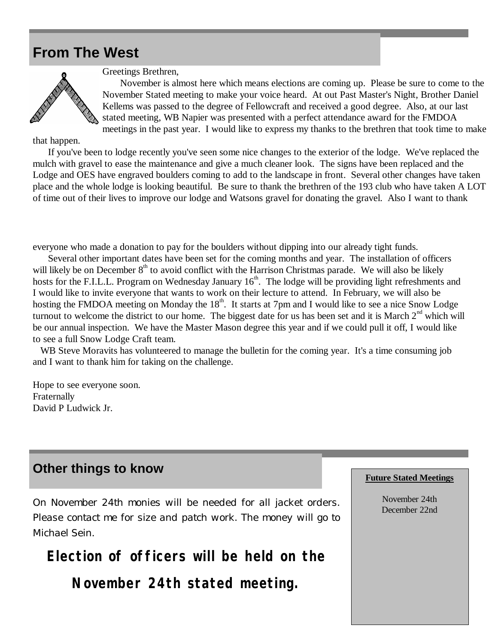## **From The West**



Greetings Brethren,

 November is almost here which means elections are coming up. Please be sure to come to the November Stated meeting to make your voice heard. At out Past Master's Night, Brother Daniel Kellems was passed to the degree of Fellowcraft and received a good degree. Also, at our last stated meeting, WB Napier was presented with a perfect attendance award for the FMDOA meetings in the past year. I would like to express my thanks to the brethren that took time to make

that happen.

 If you've been to lodge recently you've seen some nice changes to the exterior of the lodge. We've replaced the mulch with gravel to ease the maintenance and give a much cleaner look. The signs have been replaced and the Lodge and OES have engraved boulders coming to add to the landscape in front. Several other changes have taken place and the whole lodge is looking beautiful. Be sure to thank the brethren of the 193 club who have taken A LOT of time out of their lives to improve our lodge and Watsons gravel for donating the gravel. Also I want to thank

everyone who made a donation to pay for the boulders without dipping into our already tight funds.

 Several other important dates have been set for the coming months and year. The installation of officers will likely be on December  $8<sup>th</sup>$  to avoid conflict with the Harrison Christmas parade. We will also be likely hosts for the F.I.L.L. Program on Wednesday January 16<sup>th</sup>. The lodge will be providing light refreshments and I would like to invite everyone that wants to work on their lecture to attend. In February, we will also be hosting the FMDOA meeting on Monday the 18<sup>th</sup>. It starts at 7pm and I would like to see a nice Snow Lodge turnout to welcome the district to our home. The biggest date for us has been set and it is March  $2<sup>nd</sup>$  which will be our annual inspection. We have the Master Mason degree this year and if we could pull it off, I would like to see a full Snow Lodge Craft team.

WB Steve Moravits has volunteered to manage the bulletin for the coming year. It's a time consuming job and I want to thank him for taking on the challenge.

Hope to see everyone soon. Fraternally David P Ludwick Jr.

## **Other things to know**

*On November 24th monies will be needed for all jacket orders. Please contact me for size and patch work. The money will go to Michael Sein.*

**Election of officers will be held on the**

**November 24th stated meeting.**

## **Future Stated Meetings**

November 24th December 22nd